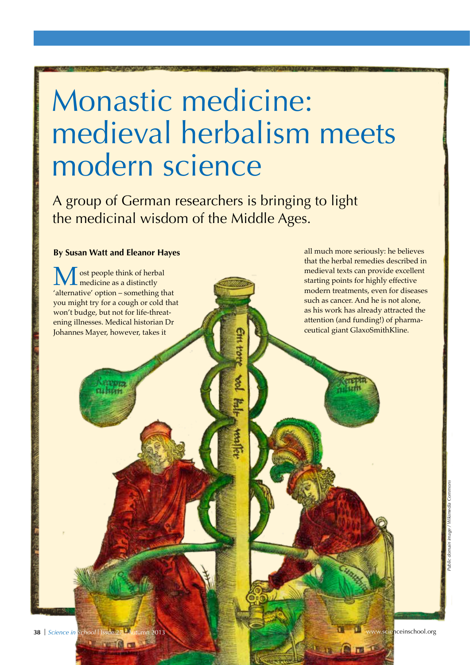# Monastic medicine: medieval herbalism meets modern science

A group of German researchers is bringing to light the medicinal wisdom of the Middle Ages.

### **By Susan Watt and Eleanor Hayes**

that the herbal remedies described in medieval texts can provide excellent starting points for highly effective modern treatments, even for diseases such as cancer. And he is not alone, as his work has already attracted the attention (and funding!) of pharmaceutical giant GlaxoSmithKline. ost people think of herbal medicine as a distinctly 'alternative' option – something that you might try for a cough or cold that won't budge, but not for life-threatening illnesses. Medical historian Dr Johannes Mayer, however, takes it

**DER RETE TO** 

all much more seriously: he believes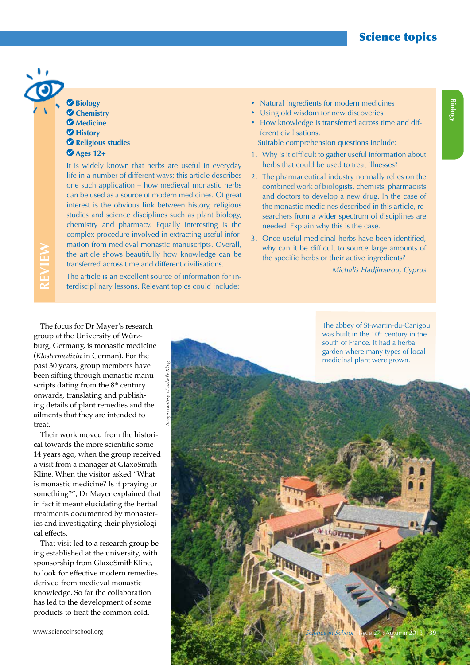### Science topics

### **Biology Chemistry** *Medicine*  **History Religious studies**

**Ages 12+**

**REVIEW**

It is widely known that herbs are useful in everyday life in a number of different ways; this article describes one such application – how medieval monastic herbs can be used as a source of modern medicines. Of great interest is the obvious link between history, religious studies and science disciplines such as plant biology, chemistry and pharmacy. Equally interesting is the complex procedure involved in extracting useful information from medieval monastic manuscripts. Overall, the article shows beautifully how knowledge can be transferred across time and different civilisations.

The article is an excellent source of information for interdisciplinary lessons. Relevant topics could include:

- Natural ingredients for modern medicines
- Using old wisdom for new discoveries
- How knowledge is transferred across time and different civilisations.

Suitable comprehension questions include:

- 1. Why is it difficult to gather useful information about herbs that could be used to treat illnesses?
- 2. The pharmaceutical industry normally relies on the combined work of biologists, chemists, pharmacists and doctors to develop a new drug. In the case of the monastic medicines described in this article, researchers from a wider spectrum of disciplines are needed. Explain why this is the case.
- 3. Once useful medicinal herbs have been identified, why can it be difficult to source large amounts of the specific herbs or their active ingredients?

*Michalis Hadjimarou, Cyprus*

The focus for Dr Mayer's research group at the University of Würzburg, Germany, is monastic medicine (*Klostermedizin* in German). For the past 30 years, group members have been sifting through monastic manuscripts dating from the 8<sup>th</sup> century onwards, translating and publishing details of plant remedies and the ailments that they are intended to treat.

Their work moved from the historical towards the more scientific some 14 years ago, when the group received a visit from a manager at GlaxoSmith-Kline. When the visitor asked "What is monastic medicine? Is it praying or something?", Dr Mayer explained that in fact it meant elucidating the herbal treatments documented by monasteries and investigating their physiological effects.

That visit led to a research group being established at the university, with sponsorship from GlaxoSmithKline, to look for effective modern remedies derived from medieval monastic knowledge. So far the collaboration has led to the development of some products to treat the common cold,

The abbey of St-Martin-du-Canigou was built in the  $10<sup>th</sup>$  century in the south of France. It had a herbal garden where many types of local

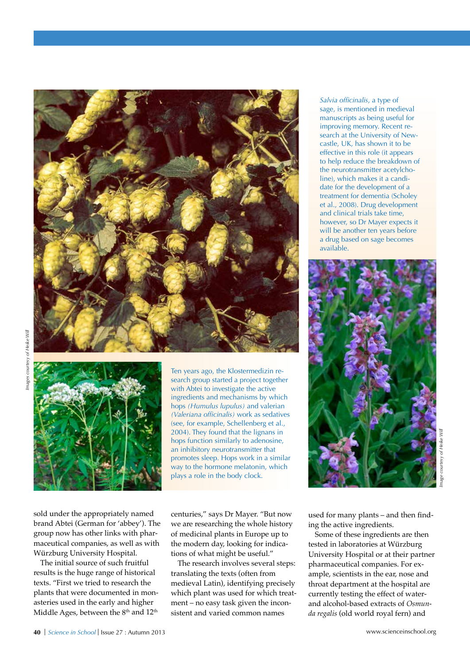



Ten years ago, the Klostermedizin research group started a project together with Abtei to investigate the active ingredients and mechanisms by which hops *(Humulus lupulus)* and valerian *(Valeriana officinalis)* work as sedatives (see, for example, Schellenberg et al., 2004). They found that the lignans in hops function similarly to adenosine, an inhibitory neurotransmitter that promotes sleep. Hops work in a similar way to the hormone melatonin, which plays a role in the body clock.

sold under the appropriately named brand Abtei (German for 'abbey'). The group now has other links with pharmaceutical companies, as well as with Würzburg University Hospital.

The initial source of such fruitful results is the huge range of historical texts. "First we tried to research the plants that were documented in monasteries used in the early and higher Middle Ages, between the  $8<sup>th</sup>$  and  $12<sup>th</sup>$ 

centuries," says Dr Mayer. "But now we are researching the whole history of medicinal plants in Europe up to the modern day, looking for indications of what might be useful."

The research involves several steps: translating the texts (often from medieval Latin), identifying precisely which plant was used for which treatment – no easy task given the inconsistent and varied common names

*Salvia officinalis*, a type of sage, is mentioned in medieval manuscripts as being useful for improving memory. Recent research at the University of Newcastle, UK, has shown it to be effective in this role (it appears to help reduce the breakdown of the neurotransmitter acetylcholine), which makes it a candidate for the development of a treatment for dementia (Scholey et al., 2008). Drug development and clinical trials take time, however, so Dr Mayer expects it will be another ten years before a drug based on sage becomes available.



used for many plants – and then finding the active ingredients.

Some of these ingredients are then tested in laboratories at Würzburg University Hospital or at their partner pharmaceutical companies. For example, scientists in the ear, nose and throat department at the hospital are currently testing the effect of waterand alcohol-based extracts of *Osmunda regalis* (old world royal fern) and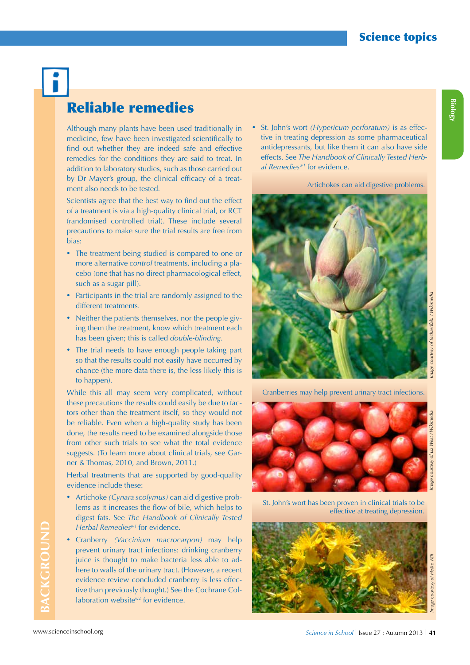## Reliable remedies

Although many plants have been used traditionally in medicine, few have been investigated scientifically to find out whether they are indeed safe and effective remedies for the conditions they are said to treat. In addition to laboratory studies, such as those carried out by Dr Mayer's group, the clinical efficacy of a treatment also needs to be tested.

Scientists agree that the best way to find out the effect of a treatment is via a high-quality clinical trial, or RCT (randomised controlled trial). These include several precautions to make sure the trial results are free from bias:

- The treatment being studied is compared to one or more alternative *control* treatments, including a placebo (one that has no direct pharmacological effect, such as a sugar pill).
- Participants in the trial are randomly assigned to the different treatments.
- Neither the patients themselves, nor the people giving them the treatment, know which treatment each has been given; this is called *double-blinding.*
- The trial needs to have enough people taking part so that the results could not easily have occurred by chance (the more data there is, the less likely this is to happen).

While this all may seem very complicated, without these precautions the results could easily be due to factors other than the treatment itself, so they would not be reliable. Even when a high-quality study has been done, the results need to be examined alongside those from other such trials to see what the total evidence suggests. (To learn more about clinical trials, see Garner & Thomas, 2010, and Brown, 2011.)

Herbal treatments that are supported by good-quality evidence include these:

- • Artichoke *(Cynara scolymus)* can aid digestive problems as it increases the flow of bile, which helps to digest fats. See *The Handbook of Clinically Tested Herbal Remediesw1* for evidence.
- • Cranberry *(Vaccinium macrocarpon)* may help prevent urinary tract infections: drinking cranberry juice is thought to make bacteria less able to adhere to walls of the urinary tract. (However, a recent evidence review concluded cranberry is less effective than previously thought.) See the Cochrane Collaboration website<sup>w2</sup> for evidence.

• St. John's wort *(Hypericum perforatum)* is as effective in treating depression as some pharmaceutical antidepressants, but like them it can also have side effects. See *The Handbook of Clinically Tested Herbal Remediesw1* for evidence.

Artichokes can aid digestive problems.



Cranberries may help prevent urinary tract infections.



St. John's wort has been proven in clinical trials to be effective at treating depression.



**Biology**

**BACKGROUND**

BACKGROUND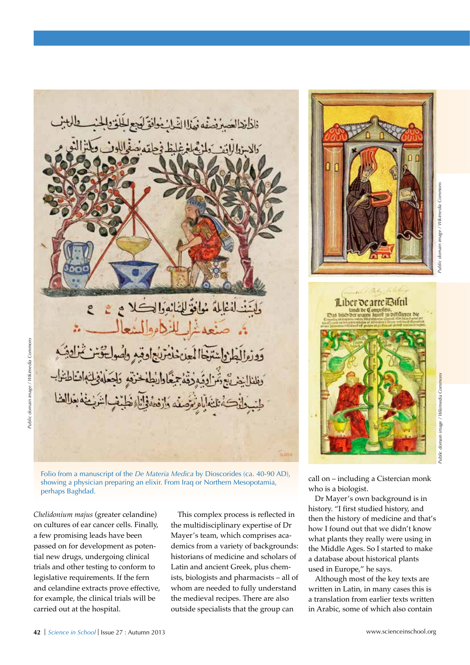

Folio from a manuscript of the *De Materia Medica* by Dioscorides (ca. 40-90 AD), showing a physician preparing an elixir. From Iraq or Northern Mesopotamia, perhaps Baghdad.

*Chelidonium majus* (greater celandine) on cultures of ear cancer cells. Finally, a few promising leads have been passed on for development as potential new drugs, undergoing clinical trials and other testing to conform to legislative requirements. If the fern and celandine extracts prove effective, for example, the clinical trials will be carried out at the hospital.

This complex process is reflected in the multidisciplinary expertise of Dr Mayer's team, which comprises academics from a variety of backgrounds: historians of medicine and scholars of Latin and ancient Greek, plus chemists, biologists and pharmacists – all of whom are needed to fully understand the medieval recipes. There are also outside specialists that the group can





Public domain image / Wikimedia Commons

call on – including a Cistercian monk who is a biologist.

Dr Mayer's own background is in history. "I first studied history, and then the history of medicine and that's how I found out that we didn't know what plants they really were using in the Middle Ages. So I started to make a database about historical plants used in Europe," he says.

Although most of the key texts are written in Latin, in many cases this is a translation from earlier texts written in Arabic, some of which also contain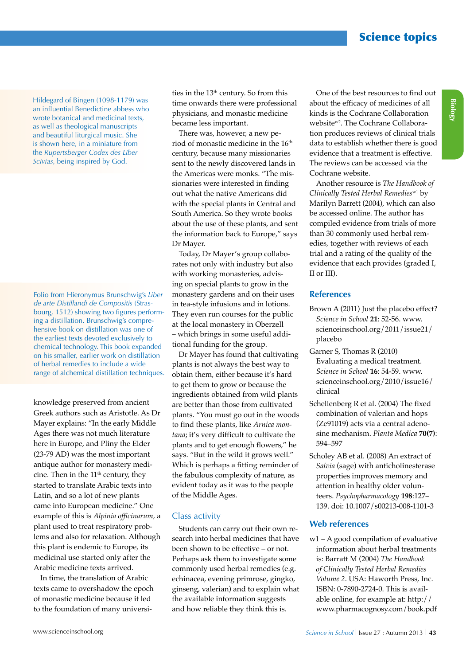Science topics

Hildegard of Bingen (1098-1179) was an influential Benedictine abbess who wrote botanical and medicinal texts, as well as theological manuscripts and beautiful liturgical music. She is shown here, in a miniature from the *Rupertsberger Codex des Liber Scivias,* being inspired by God.

Folio from Hieronymus Brunschwig's *Liber de arte Distillandi de Compositis* (Strasbourg, 1512) showing two figures performing a distillation. Brunschwig's comprehensive book on distillation was one of the earliest texts devoted exclusively to chemical technology. This book expanded on his smaller, earlier work on distillation of herbal remedies to include a wide range of alchemical distillation techniques.

knowledge preserved from ancient Greek authors such as Aristotle. As Dr Mayer explains: "In the early Middle Ages there was not much literature here in Europe, and Pliny the Elder (23-79 AD) was the most important antique author for monastery medicine. Then in the  $11<sup>th</sup>$  century, they started to translate Arabic texts into Latin, and so a lot of new plants came into European medicine." One example of this is *Alpinia officinarum,* a plant used to treat respiratory problems and also for relaxation. Although this plant is endemic to Europe, its medicinal use started only after the Arabic medicine texts arrived.

In time, the translation of Arabic texts came to overshadow the epoch of monastic medicine because it led to the foundation of many universi-

ties in the 13<sup>th</sup> century. So from this time onwards there were professional physicians, and monastic medicine became less important.

There was, however, a new period of monastic medicine in the 16<sup>th</sup> century, because many missionaries sent to the newly discovered lands in the Americas were monks. "The missionaries were interested in finding out what the native Americans did with the special plants in Central and South America. So they wrote books about the use of these plants, and sent the information back to Europe," says Dr Mayer.

Today, Dr Mayer's group collaborates not only with industry but also with working monasteries, advising on special plants to grow in the monastery gardens and on their uses in tea-style infusions and in lotions. They even run courses for the public at the local monastery in Oberzell – which brings in some useful additional funding for the group.

Dr Mayer has found that cultivating plants is not always the best way to obtain them, either because it's hard to get them to grow or because the ingredients obtained from wild plants are better than those from cultivated plants. "You must go out in the woods to find these plants, like *Arnica montana*; it's very difficult to cultivate the plants and to get enough flowers," he says. "But in the wild it grows well." Which is perhaps a fitting reminder of the fabulous complexity of nature, as evident today as it was to the people of the Middle Ages.

#### Class activity

Students can carry out their own research into herbal medicines that have been shown to be effective – or not. Perhaps ask them to investigate some commonly used herbal remedies (e.g. echinacea, evening primrose, gingko, ginseng, valerian) and to explain what the available information suggests and how reliable they think this is.

One of the best resources to find out about the efficacy of medicines of all kinds is the Cochrane Collaboration websitew2. The Cochrane Collaboration produces reviews of clinical trials data to establish whether there is good evidence that a treatment is effective. The reviews can be accessed via the Cochrane website.

Another resource is *The Handbook of Clinically Tested Herbal Remedies*w1 by Marilyn Barrett (2004), which can also be accessed online. The author has compiled evidence from trials of more than 30 commonly used herbal remedies, together with reviews of each trial and a rating of the quality of the evidence that each provides (graded I, II or III).

### **References**

- Brown A (2011) Just the placebo effect? *Science in School* **21**: 52-56. www. scienceinschool.org/2011/issue21/ placebo
- Garner S, Thomas R (2010) Evaluating a medical treatment. *Science in School* **16**: 54-59. www. scienceinschool.org/2010/issue16/ clinical
- Schellenberg R et al. (2004) The fixed combination of valerian and hops (Ze91019) acts via a central adenosine mechanism. *Planta Medica* **70(7)**: 594–597
- Scholey AB et al. (2008) An extract of *Salvia* (sage) with anticholinesterase properties improves memory and attention in healthy older volunteers. *Psychopharmacology* **198**:127– 139. doi: 10.1007/s00213-008-1101-3

### **Web references**

w1 – A good compilation of evaluative information about herbal treatments is: Barratt M (2004) *The Handbook of Clinically Tested Herbal Remedies Volume 2*. USA: Haworth Press, Inc. ISBN: 0-7890-2724-0. This is available online, for example at: http:// www.pharmacognosy.com/book.pdf